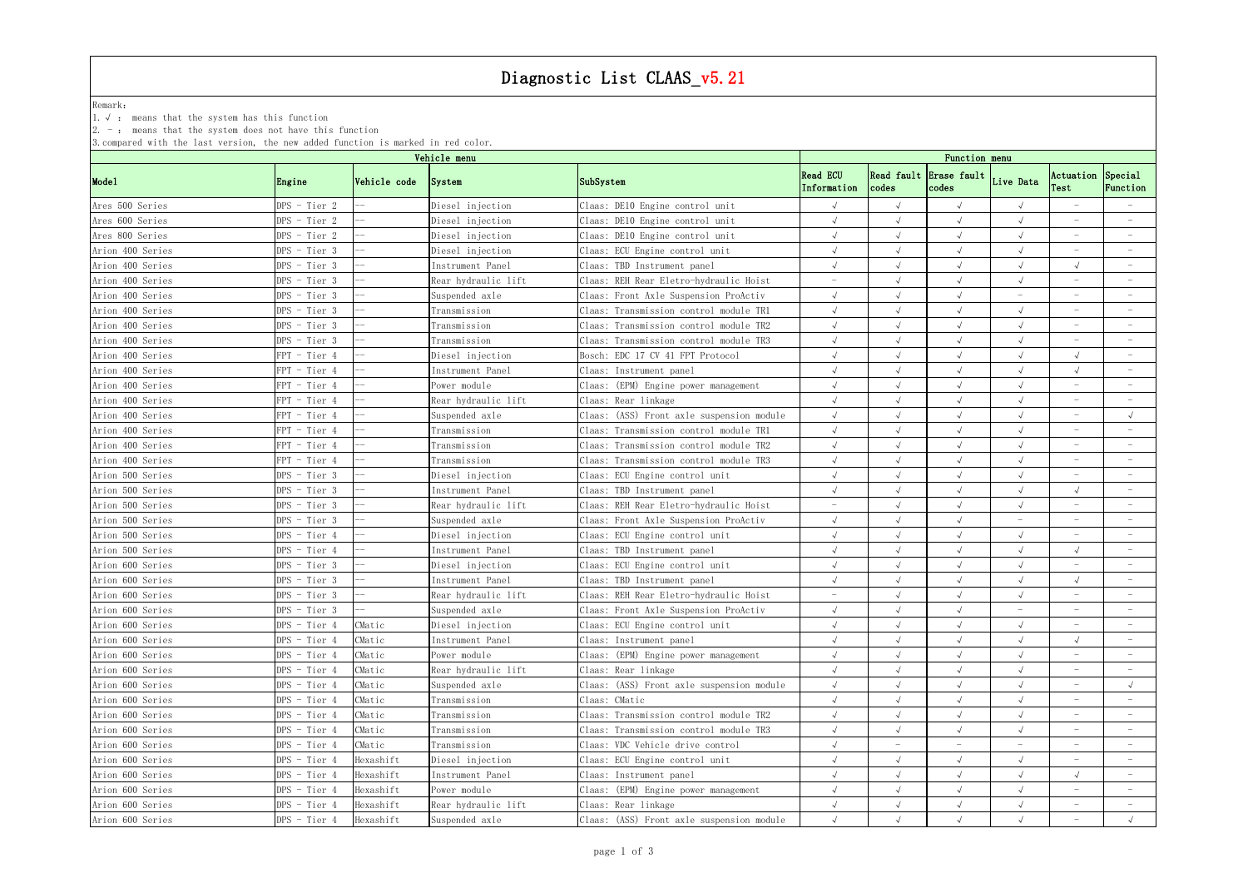# Diagnostic List CLAAS\_v5.21

## Remark:  $\blacksquare$

1.√ : means that the system has this function

2. - : means that the system does not have this function

3.compared with the last version, the new added function is marked in red color.

|                  |                | Vehicle menu |                     |                                           |                                |       | Function menu                             |                          |                                 |                                 |
|------------------|----------------|--------------|---------------------|-------------------------------------------|--------------------------------|-------|-------------------------------------------|--------------------------|---------------------------------|---------------------------------|
| Mode1            | Engine         | Vehicle code | System              | SubSystem                                 | <b>Read ECU</b><br>Information | codes | Read fault Erase fault Live Data<br>codes |                          | Actuation Special<br>Test       | Function                        |
| Ares 500 Series  | DPS - Tier 2   |              | Diesel injection    | Claas: DE10 Engine control unit           |                                |       |                                           |                          |                                 |                                 |
| Ares 600 Series  | DPS - Tier 2   |              | Diesel injection    | Claas: DE10 Engine control unit           |                                |       | $\sqrt{ }$                                |                          |                                 |                                 |
| Ares 800 Series  | DPS - Tier 2   |              | Diesel injection    | Claas: DE10 Engine control unit           |                                |       |                                           |                          |                                 |                                 |
| Arion 400 Series | $DPS$ - Tier 3 |              | Diesel injection    | Claas: ECU Engine control unit            |                                |       |                                           |                          |                                 |                                 |
| Arion 400 Series | DPS - Tier 3   |              | Instrument Panel    | Claas: TBD Instrument panel               |                                |       |                                           |                          |                                 |                                 |
| Arion 400 Series | DPS - Tier 3   |              | Rear hydraulic lift | Claas: REH Rear Eletro-hydraulic Hoist    |                                |       |                                           |                          |                                 |                                 |
| Arion 400 Series | DPS - Tier 3   |              | Suspended axle      | Claas: Front Axle Suspension ProActiv     |                                |       |                                           |                          |                                 |                                 |
| Arion 400 Series | DPS - Tier 3   |              | Transmission        | Claas: Transmission control module TR1    |                                |       | $\sqrt{ }$                                |                          | $\overline{\phantom{a}}$        | $\hspace{0.1mm}-\hspace{0.1mm}$ |
| Arion 400 Series | DPS - Tier 3   |              | Transmission        | Claas: Transmission control module TR2    |                                |       |                                           |                          |                                 |                                 |
| Arion 400 Series | DPS - Tier 3   |              | Transmission        | Claas: Transmission control module TR3    |                                |       |                                           |                          |                                 |                                 |
| Arion 400 Series | FPT - Tier 4   |              | Diesel injection    | Bosch: EDC 17 CV 41 FPT Protocol          |                                |       |                                           |                          |                                 |                                 |
| Arion 400 Series | $FPT - Tier 4$ |              | Instrument Panel    | Claas: Instrument panel                   |                                |       |                                           |                          |                                 |                                 |
| Arion 400 Series | FPT - Tier 4   |              | ower module         | Claas: (EPM) Engine power management      |                                |       |                                           |                          |                                 |                                 |
| Arion 400 Series | FPT - Tier 4   |              | Rear hydraulic lift | Claas: Rear linkage                       |                                |       |                                           |                          |                                 |                                 |
| Arion 400 Series | FPT - Tier 4   |              | Suspended axle      | Claas: (ASS) Front axle suspension module |                                |       |                                           |                          |                                 |                                 |
| Arion 400 Series | FPT - Tier 4   |              | Transmission        | Claas: Transmission control module TR1    |                                |       |                                           |                          |                                 |                                 |
| Arion 400 Series | FPT - Tier 4   |              | Transmission        | Claas: Transmission control module TR2    |                                |       |                                           |                          |                                 |                                 |
| Arion 400 Series | FPT - Tier 4   |              | Transmission        | Claas: Transmission control module TR3    |                                |       |                                           |                          |                                 |                                 |
| Arion 500 Series | DPS - Tier 3   |              | Diesel injection    | Claas: ECU Engine control unit            |                                |       |                                           |                          |                                 |                                 |
| Arion 500 Series | $DPS$ - Tier 3 |              | Instrument Panel    | Claas: TBD Instrument panel               |                                |       |                                           |                          |                                 |                                 |
| Arion 500 Series | DPS - Tier 3   |              | Rear hydraulic lift | Claas: REH Rear Eletro-hydraulic Hoist    |                                |       |                                           |                          |                                 | $\hspace{0.1mm}-\hspace{0.1mm}$ |
| Arion 500 Series | DPS - Tier 3   |              | Suspended axle      | Claas: Front Axle Suspension ProActiv     |                                |       |                                           | $\equiv$                 |                                 |                                 |
| Arion 500 Series | DPS - Tier 4   |              | Diesel injection    | Claas: ECU Engine control unit            |                                |       |                                           |                          |                                 |                                 |
| Arion 500 Series | DPS - Tier 4   |              | Instrument Panel    | Claas: TBD Instrument panel               |                                |       |                                           |                          |                                 |                                 |
| Arion 600 Series | DPS - Tier 3   |              | Diesel injection    | Claas: ECU Engine control unit            |                                |       |                                           |                          |                                 |                                 |
| Arion 600 Series | DPS - Tier 3   |              | Instrument Panel    | Claas: TBD Instrument panel               |                                |       |                                           |                          |                                 |                                 |
| Arion 600 Series | DPS - Tier 3   |              | Rear hydraulic lift | Claas: REH Rear Eletro-hydraulic Hoist    |                                |       |                                           |                          |                                 |                                 |
| Arion 600 Series | DPS - Tier 3   |              | Suspended axle      | Claas: Front Axle Suspension ProActiv     |                                |       |                                           |                          |                                 |                                 |
| Arion 600 Series | DPS - Tier 4   | CMatic       | Diesel injection    | Claas: ECU Engine control unit            |                                |       |                                           |                          |                                 | $\sim$                          |
| Arion 600 Series | DPS - Tier 4   | CMatic       | Instrument Panel    | Claas: Instrument panel                   |                                |       |                                           |                          |                                 | $\hspace{0.1mm}-\hspace{0.1mm}$ |
| Arion 600 Series | DPS - Tier 4   | CMatic       | Power module        | Claas: (EPM) Engine power management      |                                |       |                                           |                          |                                 | $\hspace{0.1mm}-\hspace{0.1mm}$ |
| Arion 600 Series | DPS - Tier 4   | CMatic       | Rear hydraulic lift | Claas: Rear linkage                       |                                |       |                                           |                          |                                 |                                 |
| Arion 600 Series | DPS - Tier 4   | CMatic       | Suspended axle      | Claas: (ASS) Front axle suspension module |                                |       |                                           |                          |                                 |                                 |
| Arion 600 Series | DPS - Tier 4   | CMatic       | Transmission        | Claas: CMatic                             |                                |       |                                           |                          |                                 | $\hspace{0.1mm}-\hspace{0.1mm}$ |
| Arion 600 Series | DPS - Tier 4   | CMatic       | Transmission        | Claas: Transmission control module TR2    |                                |       |                                           |                          |                                 |                                 |
| Arion 600 Series | DPS - Tier 4   | CMatic       | Transmission        | Claas: Transmission control module TR3    |                                |       |                                           |                          |                                 |                                 |
| Arion 600 Series | DPS - Tier 4   | CMatic       | Transmission        | Claas: VDC Vehicle drive control          |                                |       | $\overline{\phantom{m}}$                  | $\overline{\phantom{m}}$ |                                 | $\sim$                          |
| Arion 600 Series | DPS - Tier 4   | Hexashift    | Diesel injection    | Claas: ECU Engine control unit            |                                |       |                                           |                          | $\hspace{0.1mm}-\hspace{0.1mm}$ | $\hspace{0.1mm}-\hspace{0.1mm}$ |
| Arion 600 Series | DPS - Tier 4   | Hexashift    | Instrument Panel    | Claas: Instrument panel                   |                                |       |                                           |                          |                                 | $\hspace{0.1mm}-\hspace{0.1mm}$ |
| Arion 600 Series | DPS - Tier 4   | Hexashift    | Power module        | Claas: (EPM) Engine power management      |                                |       |                                           |                          |                                 |                                 |
| Arion 600 Series | DPS - Tier 4   | Hexashift    | Rear hydraulic lift | Claas: Rear linkage                       |                                |       |                                           |                          |                                 |                                 |
| Arion 600 Series | DPS - Tier 4   | Hexashift    | Suspended axle      | Claas: (ASS) Front axle suspension module |                                |       |                                           |                          | $\overline{\phantom{a}}$        |                                 |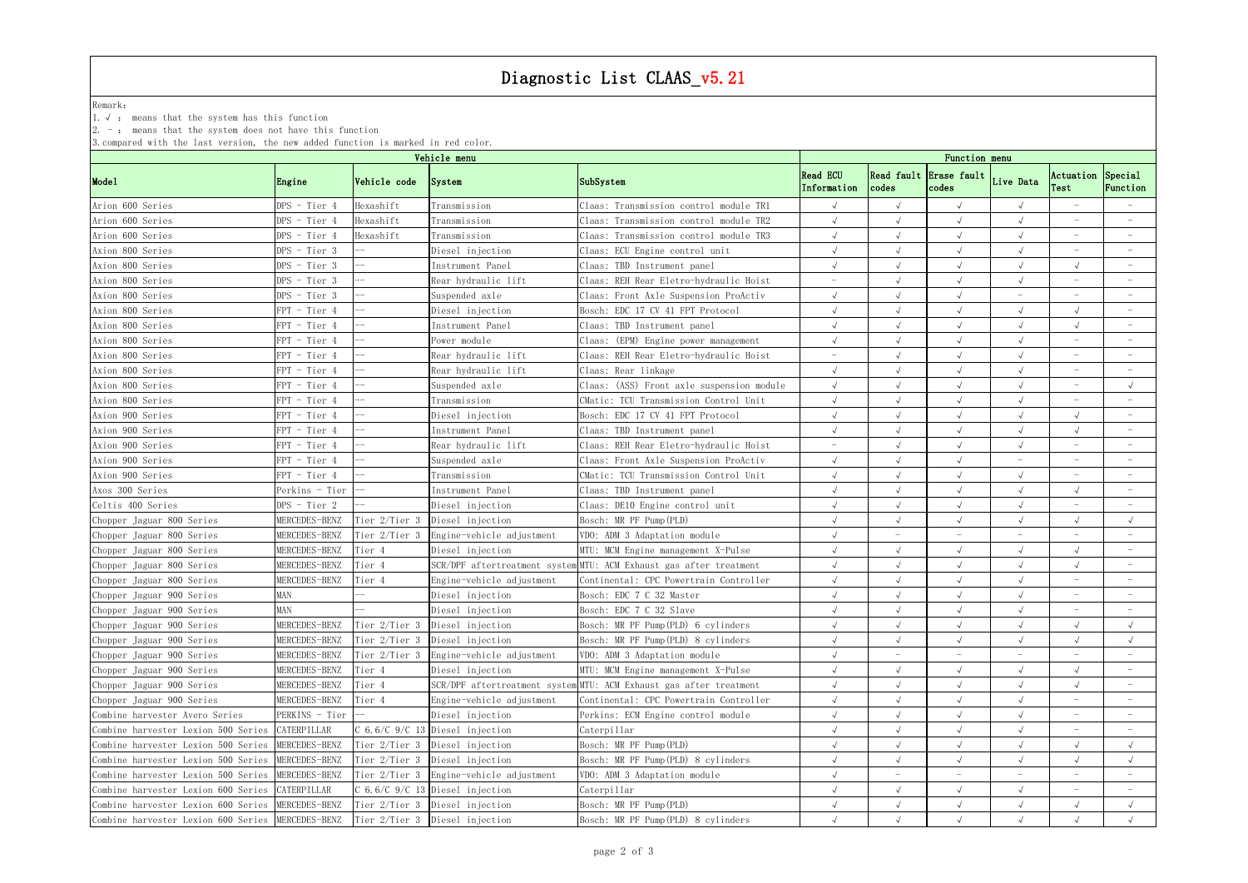# Diagnostic List CLAAS\_v5.21

## Remark:  $\blacksquare$

1.√ : means that the system has this function

2. - : means that the system does not have this function

3.compared with the last version, the new added function is marked in red color.

|                                                   |                |               | Vehicle menu                            |                                                                    |                                |           | Function menu                             |            |                           |                                 |
|---------------------------------------------------|----------------|---------------|-----------------------------------------|--------------------------------------------------------------------|--------------------------------|-----------|-------------------------------------------|------------|---------------------------|---------------------------------|
| Mode1                                             | Engine         | Vehicle code  | System                                  | SubSystem                                                          | <b>Read ECU</b><br>Information | $codes$   | Read fault Erase fault Live Data<br>codes |            | Actuation Special<br>Test | Function                        |
| Arion 600 Series                                  | DPS - Tier 4   | Hexashift     | Transmission                            | Claas: Transmission control module TR1                             |                                |           |                                           |            |                           |                                 |
| Arion 600 Series                                  | DPS - Tier 4   | Hexashift     | Transmission                            | Claas: Transmission control module TR2                             |                                |           |                                           |            |                           |                                 |
| Arion 600 Series                                  | DPS - Tier 4   | Hexashift     | Transmission                            | Claas: Transmission control module TR3                             |                                |           |                                           |            |                           | $\hspace{0.1mm}-\hspace{0.1mm}$ |
| Axion 800 Series                                  | DPS - Tier 3   |               | Diesel injection                        | Claas: ECU Engine control unit                                     |                                |           |                                           |            |                           |                                 |
| Axion 800 Series                                  | DPS - Tier 3   |               | Instrument Panel                        | Claas: TBD Instrument panel                                        |                                |           |                                           |            |                           |                                 |
| Axion 800 Series                                  | DPS - Tier 3   |               | Rear hydraulic lift                     | Claas: REH Rear Eletro-hydraulic Hoist                             |                                |           |                                           |            |                           |                                 |
| Axion 800 Series                                  | DPS - Tier 3   |               | Suspended axle                          | Claas: Front Axle Suspension ProActiv                              |                                |           |                                           |            |                           |                                 |
| Axion 800 Series                                  | FPT - Tier 4   |               | Diesel injection                        | Bosch: EDC 17 CV 41 FPT Protocol                                   |                                |           |                                           | $\sqrt{ }$ |                           | $\overline{\phantom{a}}$        |
| Axion 800 Series                                  | PT - Tier 4    |               | Instrument Panel                        | Claas: TBD Instrument panel                                        |                                |           |                                           |            |                           |                                 |
| Axion 800 Series                                  | PT - Tier 4    |               | ower module                             | Claas: (EPM) Engine power management                               |                                |           |                                           |            |                           |                                 |
| Axion 800 Series                                  | $FPT - Tier 4$ |               | Rear hydraulic lift                     | Claas: REH Rear Eletro-hydraulic Hoist                             |                                |           |                                           |            |                           |                                 |
| Axion 800 Series                                  | FPT - Tier 4   |               | Rear hydraulic lift                     | Claas: Rear linkage                                                |                                |           |                                           |            |                           |                                 |
| Axion 800 Series                                  | PT - Tier 4    |               | Suspended axle                          | Claas: (ASS) Front axle suspension module                          |                                |           |                                           |            |                           |                                 |
| Axion 800 Series                                  | PT - Tier 4    |               | Transmission                            | CMatic: TCU Transmission Control Unit                              |                                |           |                                           |            |                           |                                 |
| Axion 900 Series                                  | $PT - Tier 4$  |               | Diesel injection                        | Bosch: EDC 17 CV 41 FPT Protocol                                   |                                |           | $\sqrt{ }$                                |            |                           |                                 |
| Axion 900 Series                                  | FPT - Tier 4   |               | Instrument Panel                        | Claas: TBD Instrument panel                                        |                                |           | $\sqrt{ }$                                |            |                           |                                 |
| Axion 900 Series                                  | PT - Tier 4    |               | Rear hydraulic lift                     | Claas: REH Rear Eletro-hydraulic Hoist                             |                                |           |                                           |            |                           |                                 |
| Axion 900 Series                                  | PT - Tier 4    |               | Suspended axle                          | Claas: Front Axle Suspension ProActiv                              |                                |           |                                           |            |                           |                                 |
| Axion 900 Series                                  | PT - Tier 4    |               | Transmission                            | CMatic: TCU Transmission Control Unit                              |                                |           |                                           |            |                           |                                 |
| Axos 300 Series                                   | Perkins - Tier |               | Instrument Panel                        | Claas: TBD Instrument panel                                        |                                |           |                                           |            |                           |                                 |
| Celtis 400 Series                                 | DPS - Tier 2   |               | Diesel injection                        | Claas: DE10 Engine control unit                                    |                                |           |                                           |            |                           |                                 |
| Chopper Jaguar 800 Series                         | MERCEDES-BENZ  |               | Tier 2/Tier 3 Diesel injection          | Bosch: MR PF Pump (PLD)                                            |                                |           |                                           |            |                           |                                 |
| Chopper Jaguar 800 Series                         | MERCEDES-BENZ  | Tier 2/Tier 3 | Engine-vehicle adjustment               | VDO: ADM 3 Adaptation module                                       |                                |           |                                           |            |                           |                                 |
| Chopper Jaguar 800 Series                         | MERCEDES-BENZ  | Tier 4        | Diesel injection                        | MTU: MCM Engine management X-Pulse                                 |                                | $\lambda$ | $\sqrt{ }$                                |            |                           | $\hspace{0.1mm}-\hspace{0.1mm}$ |
| Chopper Jaguar 800 Series                         | MERCEDES-BENZ  | Tier 4        |                                         | SCR/DPF aftertreatment system MTU: ACM Exhaust gas after treatment |                                |           |                                           |            |                           |                                 |
| Chopper Jaguar 800 Series                         | MERCEDES-BENZ  | Tier 4        | Engine-vehicle adjustment               | Continental: CPC Powertrain Controller                             |                                |           |                                           |            |                           |                                 |
| Chopper Jaguar 900 Series                         | MAN            |               | Diesel injection                        | Bosch: EDC 7 C 32 Master                                           |                                |           |                                           |            |                           |                                 |
| Chopper Jaguar 900 Series                         | MAN            |               | Diesel injection                        | Bosch: EDC 7 C 32 Slave                                            |                                |           |                                           |            |                           |                                 |
| Chopper Jaguar 900 Series                         | MERCEDES-BENZ  |               | Tier 2/Tier 3 Diesel injection          | Bosch: MR PF Pump(PLD) 6 cylinders                                 |                                |           |                                           |            |                           |                                 |
| Chopper Jaguar 900 Series                         | MERCEDES-BENZ  |               | Tier 2/Tier 3 Diesel injection          | Bosch: MR PF Pump(PLD) 8 cylinders                                 |                                |           |                                           |            |                           |                                 |
| Chopper Jaguar 900 Series                         | MERCEDES-BENZ  |               | Tier 2/Tier 3 Engine-vehicle adjustment | VDO: ADM 3 Adaptation module                                       |                                |           |                                           |            |                           |                                 |
| Chopper Jaguar 900 Series                         | MERCEDES-BENZ  | Tier 4        | Diesel injection                        | MTU: MCM Engine management X-Pulse                                 |                                |           | $\sqrt{ }$                                |            |                           |                                 |
| Chopper Jaguar 900 Series                         | MERCEDES-BENZ  | Tier 4        |                                         | SCR/DPF aftertreatment system MTU: ACM Exhaust gas after treatment |                                |           |                                           |            |                           |                                 |
| Chopper Jaguar 900 Series                         | MERCEDES-BENZ  | Tier 4        | Engine-vehicle adjustment               | Continental: CPC Powertrain Controller                             |                                |           |                                           |            |                           |                                 |
| Combine harvester Avero Series                    | PERKINS - Tier |               | Diesel injection                        | Perkins: ECM Engine control module                                 |                                |           |                                           |            |                           |                                 |
| Combine harvester Lexion 500 Series               | CATERPILLAR    |               | $C$ 6.6/C 9/C 13 Diesel injection       | Caterpillar                                                        |                                |           |                                           |            |                           |                                 |
| Combine harvester Lexion 500 Series               | MERCEDES-BENZ  | Tier 2/Tier 3 | Diesel injection                        | Bosch: MR PF Pump(PLD)                                             |                                |           |                                           |            |                           |                                 |
| Combine harvester Lexion 500 Series MERCEDES-BENZ |                |               | Tier 2/Tier 3 Diesel injection          | Bosch: MR PF Pump(PLD) 8 cylinders                                 |                                |           |                                           |            |                           |                                 |
| Combine harvester Lexion 500 Series MERCEDES-BENZ |                |               | Tier 2/Tier 3 Engine-vehicle adjustment | VDO: ADM 3 Adaptation module                                       |                                |           |                                           |            |                           |                                 |
| Combine harvester Lexion 600 Series               | CATERPILLAR    |               | $C$ 6.6/C 9/C 13 Diesel injection       | Caterpillar                                                        |                                |           |                                           |            |                           |                                 |
| Combine harvester Lexion 600 Series MERCEDES-BENZ |                |               | Tier 2/Tier 3 Diesel injection          | Bosch: MR PF Pump (PLD)                                            |                                |           |                                           |            |                           |                                 |
| Combine harvester Lexion 600 Series MERCEDES-BENZ |                |               | Tier 2/Tier 3 Diesel injection          | Bosch: MR PF Pump(PLD) 8 cylinders                                 |                                |           |                                           |            |                           |                                 |